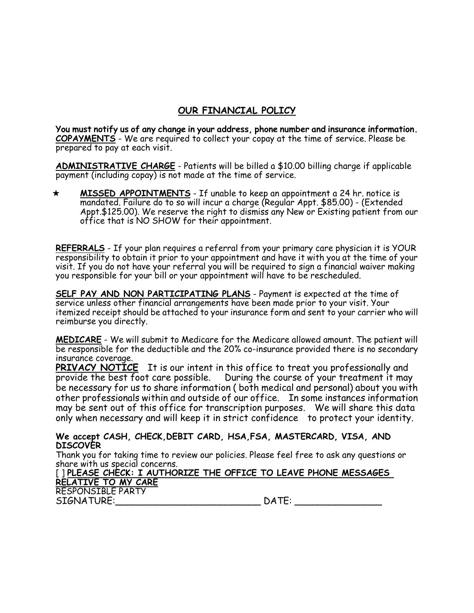## **OUR FINANCIAL POLICY**

**You must notify us of any change in your address, phone number and insurance information. COPAYMENTS** - We are required to collect your copay at the time of service. Please be prepared to pay at each visit.

**ADMINISTRATIVE CHARGE** - Patients will be billed a \$10.00 billing charge if applicable payment (including copay) is not made at the time of service.

 **MISSED APPOINTMENTS** - If unable to keep an appointment a 24 hr. notice is mandated. Failure do to so will incur a charge (Regular Appt. \$85.00) - (Extended Appt.\$125.00). We reserve the right to dismiss any New or Existing patient from our office that is NO SHOW for their appointment.

**REFERRALS** - If your plan requires a referral from your primary care physician it is YOUR responsibility to obtain it prior to your appointment and have it with you at the time of your visit. If you do not have your referral you will be required to sign a financial waiver making you responsible for your bill or your appointment will have to be rescheduled.

**SELF PAY AND NON PARTICIPATING PLANS** - Payment is expected at the time of service unless other financial arrangements have been made prior to your visit. Your itemized receipt should be attached to your insurance form and sent to your carrier who will reimburse you directly.

**MEDICARE** - We will submit to Medicare for the Medicare allowed amount. The patient will be responsible for the deductible and the 20% co-insurance provided there is no secondary insurance coverage.

**PRIVACY NOTICE** It is our intent in this office to treat you professionally and provide the best foot care possible. During the course of your treatment it may be necessary for us to share information ( both medical and personal) about you with other professionals within and outside of our office. In some instances information may be sent out of this office for transcription purposes. We will share this data only when necessary and will keep it in strict confidence to protect your identity.

## **We accept CASH, CHECK,DEBIT CARD, HSA,FSA, MASTERCARD, VISA, AND DISCOVER**

Thank you for taking time to review our policies. Please feel free to ask any questions or share with us special concerns.

| [] PLEASE CHECK: I AUTHORIZE THE OFFICE TO LEAVE PHONE MESSAGES |       |  |
|-----------------------------------------------------------------|-------|--|
| RELATIVE TO MY CARE                                             |       |  |
| <b>RESPONSIBLE PARTY</b>                                        |       |  |
| SIGNATURE:                                                      | DATE: |  |